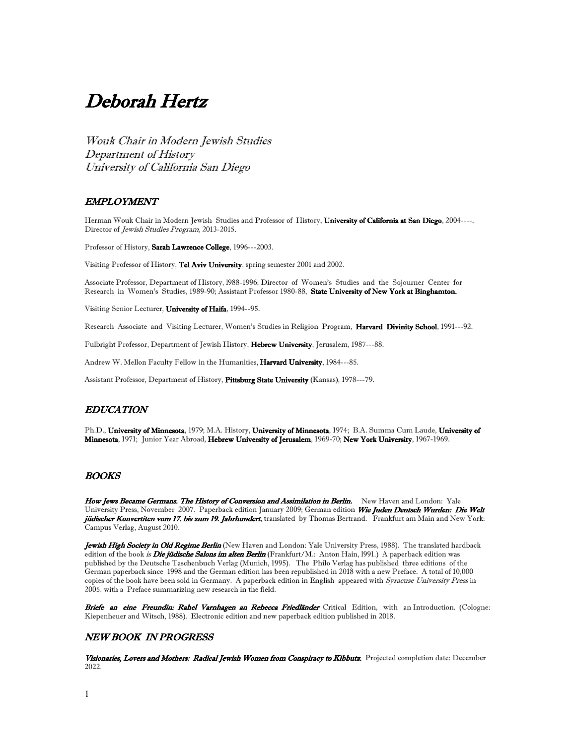# Deborah Hertz

Wouk Chair in Modern Jewish Studies Department of History University of California San Diego

## EMPLOYMENT

Herman Wouk Chair in Modern Jewish Studies and Professor of History, University of California at San Diego, 2004----. Director of Jewish Studies Program, 2013-2015.

Professor of History, Sarah Lawrence College, 1996---2003.

Visiting Professor of History, Tel Aviv University, spring semester 2001 and 2002.

Associate Professor, Department of History, l988-1996; Director of Women's Studies and the Sojourner Center for Research in Women's Studies, 1989-90; Assistant Professor 1980-88, State University of New York at Binghamton.

Visiting Senior Lecturer, University of Haifa, 1994--95.

Research Associate and Visiting Lecturer, Women's Studies in Religion Program, Harvard Divinity School, 1991---92.

Fulbright Professor, Department of Jewish History, Hebrew University, Jerusalem, 1987---88.

Andrew W. Mellon Faculty Fellow in the Humanities, Harvard University, 1984---85.

Assistant Professor, Department of History, Pittsburg State University (Kansas), 1978---79.

# EDUCATION

Ph.D., University of Minnesota, 1979; M.A. History, University of Minnesota, 1974; B.A. Summa Cum Laude, University of Minnesota, 1971; Junior Year Abroad, Hebrew University of Jerusalem, 1969-70; New York University, 1967-1969.

# **BOOKS**

How Jews Became Germans. The History of Conversion and Assimilation in Berlin. New Haven and London: Yale University Press, November 2007. Paperback edition January 2009; German edition Wie Juden Deutsch Wurden: Die Welt jüdischer Konvertiten vom 17. bis zum 19. Jahrhundert, translated by Thomas Bertrand. Frankfurt am Main and New York: Campus Verlag, August 2010.

Jewish High Society in Old Regime Berlin (New Haven and London: Yale University Press, 1988). The translated hardback edition of the book *is Die jüdische Salons im alten Berlin* (Frankfurt/M.: Anton Hain, 1991.) A paperback edition was published by the Deutsche Taschenbuch Verlag (Munich, 1995). The Philo Verlag has published three editions of the German paperback since 1998 and the German edition has been republished in 2018 with a new Preface. A total of 10,000 copies of the book have been sold in Germany. A paperback edition in English appeared with Syracuse University Press in 2005, with a Preface summarizing new research in the field.

Briefe an eine Freundin: Rahel Varnhagen an Rebecca Friedländer Critical Edition, with an Introduction. (Cologne: Kiepenheuer and Witsch, 1988). Electronic edition and new paperback edition published in 2018.

## NEW BOOK IN PROGRESS

Visionaries, Lovers and Mothers: Radical Jewish Women from Conspiracy to Kibbutz. Projected completion date: December 2022.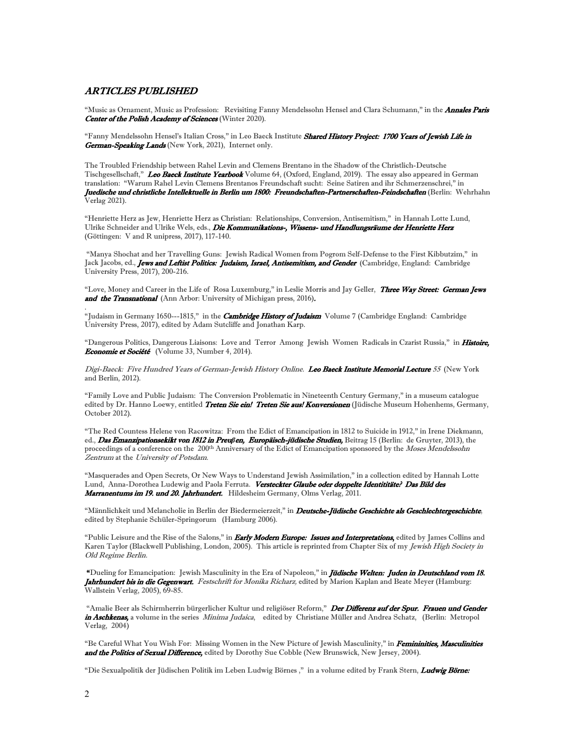## ARTICLES PUBLISHED

"Music as Ornament, Music as Profession: Revisiting Fanny Mendelssohn Hensel and Clara Schumann," in the *Annales Paris* Center of the Polish Academy of Sciences (Winter 2020).

"Fanny Mendelssohn Hensel's Italian Cross," in Leo Baeck Institute Shared History Project: 1700 Years of Jewish Life in German-Speaking Lands (New York, 2021), Internet only.

The Troubled Friendship between Rahel Levin and Clemens Brentano in the Shadow of the Christlich-Deutsche Tischgesellschaft," Leo Baeck Institute Yearbook Volume 64, (Oxford, England, 2019). The essay also appeared in German translation: "Warum Rahel Levin Clemens Brentanos Freundschaft sucht: Seine Satiren and ihr Schmerzenschrei," in Juedische und christliche Intellektuelle in Berlin um 1800: Freundschaften-Partnerschaften-Feindschaften (Berlin: Wehrhahn Verlag 2021).

"Henriette Herz as Jew, Henriette Herz as Christian: Relationships, Conversion, Antisemitism," in Hannah Lotte Lund, Ulrike Schneider and Ulrike Wels, eds., Die Kommunikations-, Wissens- und Handlungsräume der Henriette Herz (Göttingen: V and R unipress, 2017), 117-140.

 "Manya Shochat and her Travelling Guns: Jewish Radical Women from Pogrom Self-Defense to the First Kibbutzim," in Jack Jacobs, ed., **Jews and Leftist Politics: Judaism, Israel, Antisemitism, and Gender** (Cambridge, England: Cambridge University Press, 2017), 200-216.

"Love, Money and Career in the Life of Rosa Luxemburg," in Leslie Morris and Jay Geller, Three Way Street: German Jews and the Transnational (Ann Arbor: University of Michigan press, 2016).

"Judaism in Germany 1650---1815," in the *Cambridge History of Judaism* Volume 7 (Cambridge England: Cambridge University Press, 2017), edited by Adam Sutcliffe and Jonathan Karp.

"Dangerous Politics, Dangerous Liaisons: Love and Terror Among Jewish Women Radicals in Czarist Russia," in Histoire, Economie et Société (Volume 33, Number 4, 2014).

Digi-Baeck: Five Hundred Years of German-Jewish History Online. Leo Baeck Institute Memorial Lecture 55 (New York and Berlin, 2012).

"Family Love and Public Judaism: The Conversion Problematic in Nineteenth Century Germany," in a museum catalogue edited by Dr. Hanno Loewy, entitled Treten Sie ein! Treten Sie aus! Konversionen (Jüdische Museum Hohenhems, Germany, October 2012).

"The Red Countess Helene von Racowitza: From the Edict of Emancipation in 1812 to Suicide in 1912," in Irene Diekmann, ed., Das Emanzipationsekikt von 1812 in Preu*β*en, Europäisch-jüdische Studien, Beitrag 15 (Berlin: de Gruyter, 2013), the proceedings of a conference on the 200<sup>th</sup> Anniversary of the Edict of Emancipation sponsored by the Moses Mendelssohn Zentrum at the University of Potsdam.

"Masquerades and Open Secrets, Or New Ways to Understand Jewish Assimilation," in a collection edited by Hannah Lotte Lund, Anna-Dorothea Ludewig and Paola Ferruta. Versteckter Glaube oder doppelte Identititäte? Das Bild des Marranentums im 19. und 20. Jahrhundert. Hildesheim Germany, Olms Verlag, 2011.

"Männlichkeit und Melancholie in Berlin der Biedermeierzeit," in Deutsche-Jüdische Geschichte als Geschlechtergeschichte, edited by Stephanie Schüler-Springorum (Hamburg 2006).

"Public Leisure and the Rise of the Salons," in Early Modern Europe: Issues and Interpretations, edited by James Collins and Karen Taylor (Blackwell Publishing, London, 2005). This article is reprinted from Chapter Six of my *Jewish High Society in* Old Regime Berlin.

"Dueling for Emancipation: Jewish Masculinity in the Era of Napoleon," in *Jüdische Welten: Juden in Deutschland vom 18*. Jahrhundert bis in die Gegenwart. Festschrift for Monika Richarz, edited by Marion Kaplan and Beate Meyer (Hamburg: Wallstein Verlag, 2005), 69-85.

"Amalie Beer als Schirmherrin bürgerlicher Kultur und religiöser Reform," Der Differenz auf der Spur. Frauen und Gender in Aschkenas, a volume in the series *Minima Judaica*, edited by Christiane Müller and Andrea Schatz, (Berlin: Metropol Verlag, 2004)

"Be Careful What You Wish For: Missing Women in the New Picture of Jewish Masculinity," in Femininities, Masculinities and the Politics of Sexual Difference, edited by Dorothy Sue Cobble (New Brunswick, New Jersey, 2004).

"Die Sexualpolitik der Jüdischen Politik im Leben Ludwig Börnes ," in a volume edited by Frank Stern, Ludwig Börne:

.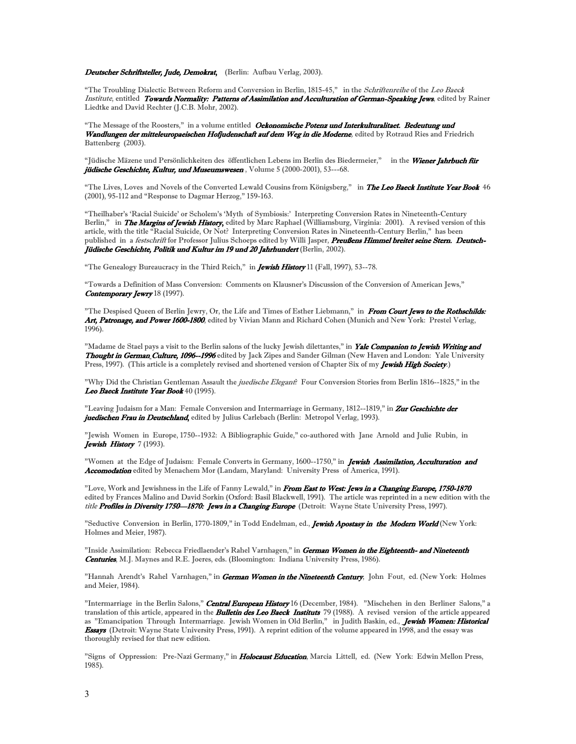#### Deutscher Schriftsteller, Jude, Demokrat, (Berlin: Aufbau Verlag, 2003).

"The Troubling Dialectic Between Reform and Conversion in Berlin, 1815-45," in the Schriftenreihe of the Leo Baeck Institute, entitled Towards Normality: Patterns of Assimilation and Acculturation of German-Speaking Jews, edited by Rainer Liedtke and David Rechter (J.C.B. Mohr, 2002).

"The Message of the Roosters," in a volume entitled Oekonomische Potenz und Interkulturalitaet. Bedeutung und Wandlungen der mitteleuropaeischen Hofjudenschaft auf dem Weg in die Moderne, edited by Rotraud Ries and Friedrich Battenberg (2003).

"Jüdische Mäzene und Persönlichkeiten des öffentlichen Lebens im Berlin des Biedermeier," in the Wiener Jahrbuch für jüdische Geschichte, Kultur, und Museumswesen, Volume 5 (2000-2001), 53---68.

"The Lives, Loves and Novels of the Converted Lewald Cousins from Königsberg," in The Leo Baeck Institute Year Book 46 (2001), 95-112 and "Response to Dagmar Herzog," 159-163.

"Theilhaber's 'Racial Suicide' or Scholem's 'Myth of Symbiosis:' Interpreting Conversion Rates in Nineteenth-Century Berlin," in The Margins of Jewish History, edited by Marc Raphael (Williamsburg, Virginia: 2001). A revised version of this article, with the title "Racial Suicide, Or Not? Interpreting Conversion Rates in Nineteenth-Century Berlin," has been published in a festschrift for Professor Julius Schoeps edited by Willi Jasper, Preußens Himmel breitet seine Stern. Deutsch-Jüdische Geschichte, Politik und Kultur im 19 und 20 Jahrhundert (Berlin, 2002).

"The Genealogy Bureaucracy in the Third Reich," in **Jewish History** 11 (Fall, 1997), 53--78.

"Towards a Definition of Mass Conversion: Comments on Klausner's Discussion of the Conversion of American Jews," Contemporary Jewry 18 (1997).

"The Despised Queen of Berlin Jewry, Or, the Life and Times of Esther Liebmann," in From Court Jews to the Rothschilds: Art, Patronage, and Power 1600-1800, edited by Vivian Mann and Richard Cohen (Munich and New York: Prestel Verlag, 1996).

"Madame de Stael pays a visit to the Berlin salons of the lucky Jewish dilettantes," in Yale Companion to Jewish Writing and Thought in German Culture, 1096--1996 edited by Jack Zipes and Sander Gilman (New Haven and London: Yale University Press, 1997). (This article is a completely revised and shortened version of Chapter Six of my Jewish High Society.)

"Why Did the Christian Gentleman Assault the *juedische Elegant*? Four Conversion Stories from Berlin 1816--1825," in the Leo Baeck Institute Year Book 40 (1995).

"Leaving Judaism for a Man: Female Conversion and Intermarriage in Germany, 1812--1819," in Zur Geschichte der juedischen Frau in Deutschland, edited by Julius Carlebach (Berlin: Metropol Verlag, 1993).

"Jewish Women in Europe, 1750--1932: A Bibliographic Guide," co-authored with Jane Arnold and Julie Rubin, in Jewish History 7 (1993).

"Women at the Edge of Judaism: Female Converts in Germany, 1600--1750," in Jewish Assimilation, Acculturation and Accomodation edited by Menachem Mor (Landam, Maryland: University Press of America, 1991).

"Love, Work and Jewishness in the Life of Fanny Lewald," in From East to West: Jews in a Changing Europe, 1750-1870 edited by Frances Malino and David Sorkin (Oxford: Basil Blackwell, 1991). The article was reprinted in a new edition with the title Profiles in Diversity 1750-1870: Jews in a Changing Europe (Detroit: Wayne State University Press, 1997).

"Seductive Conversion in Berlin, 1770-1809," in Todd Endelman, ed., Jewish Apostasy in the Modern World (New York: Holmes and Meier, 1987).

"Inside Assimilation: Rebecca Friedlaender's Rahel Varnhagen," in German Women in the Eighteenth- and Nineteenth Centuries, M.J. Maynes and R.E. Joeres, eds. (Bloomington: Indiana University Press, 1986).

"Hannah Arendt's Rahel Varnhagen," in German Women in the Nineteenth Century, John Fout, ed. (New York: Holmes and Meier, 1984).

"Intermarriage in the Berlin Salons," Central European History 16 (December, 1984). "Mischehen in den Berliner Salons," a translation of this article, appeared in the **Bulletin des Leo Baeck Instituts** 79 (1988). A revised version of the article appeared as "Emancipation Through Intermarriage. Jewish Women in Old Berlin," in Judith Baskin, ed., Jewish Women: Historical Essays (Detroit: Wayne State University Press, 1991). A reprint edition of the volume appeared in 1998, and the essay was thoroughly revised for that new edition.

"Signs of Oppression: Pre-Nazi Germany," in *Holocaust Education*, Marcia Littell, ed. (New York: Edwin Mellon Press, 1985).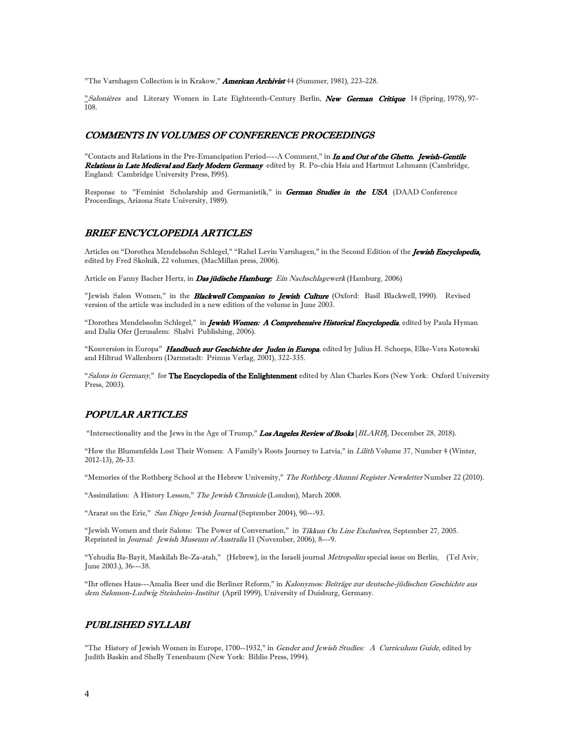"The Varnhagen Collection is in Krakow," **American Archivist** 44 (Summer, 1981), 223-228.

"Salonières and Literary Women in Late Eighteenth-Century Berlin, New German Critique 14 (Spring, 1978), 97-108.

## COMMENTS IN VOLUMES OF CONFERENCE PROCEEDINGS

"Contacts and Relations in the Pre-Emancipation Period----A Comment," in *In and Out of the Ghetto. Jewish-Gentile* Relations in Late Medieval and Early Modern Germany edited by R. Po-chia Hsia and Hartmut Lehmann (Cambridge, England: Cambridge University Press, l995).

Response to "Feminist Scholarship and Germanistik," in German Studies in the USA (DAAD Conference Proceedings, Arizona State University, 1989).

## BRIEF ENCYCLOPEDIA ARTICLES

Articles on "Dorothea Mendelssohn Schlegel," "Rahel Levin Varnhagen," in the Second Edition of the Jewish Encyclopedia, edited by Fred Skolnik, 22 volumes, (MacMillan press, 2006).

Article on Fanny Bacher Hertz, in *Das jüdische Hamburg: Ein Nachschlagewerk* (Hamburg, 2006)

"Jewish Salon Women," in the *Blackwell Companion to Jewish Culture* (Oxford: Basil Blackwell, 1990). Revised version of the article was included in a new edition of the volume in June 2003.

"Dorothea Mendelssohn Schlegel," in *Jewish Women: A Comprehensive Historical Encyclopedia*, edited by Paula Hyman and Dalia Ofer (Jerusalem: Shalvi Publishing, 2006).

"Konversion in Europa" Handbuch zur Geschichte der Juden in Europa, edited by Julius H. Schoeps, Elke-Vera Kotowski and Hiltrud Wallenborn (Darmstadt: Primus Verlag, 2001), 322-335.

"Salons in Germany," for The Encyclopedia of the Enlightenment edited by Alan Charles Kors (New York: Oxford University Press, 2003).

## POPULAR ARTICLES

"Intersectionality and the Jews in the Age of Trump," Los Angeles Review of Books [BLARB], December 28, 2018).

"How the Blumenfelds Lost Their Women: A Family's Roots Journey to Latvia," in Lilith Volume 37, Number 4 (Winter, 2012-13), 26-33.

"Memories of the Rothberg School at the Hebrew University," The Rothberg Alumni Register Newsletter Number 22 (2010).

"Assimilation: A History Lesson," The Jewish Chronicle (London), March 2008.

"Ararat on the Erie," San Diego Jewish Journal (September 2004), 90---93.

"Jewish Women and their Salons: The Power of Conversation," in Tikkun On Line Exclusives, September 27, 2005. Reprinted in Journal: Jewish Museum of Australia 11 (November, 2006), 8---9.

"Yehudia Ba-Bayit, Maskilah Be-Za-atah," {Hebrew}, in the Israeli journal Metropolim special issue on Berlin, (Tel Aviv, June 2003.), 36---38.

"Ihr offenes Haus---Amalia Beer und die Berliner Reform," in Kalonymos: Beiträge zur deutsche-jüdischen Geschichte aus dem Salomon-Ludwig Steinheim-Institut (April 1999), University of Duisburg, Germany.

# PUBLISHED SYLLABI

"The History of Jewish Women in Europe, 1700--1932," in Gender and Jewish Studies: A Curriculum Guide, edited by Judith Baskin and Shelly Tenenbaum (New York: Biblio Press, 1994).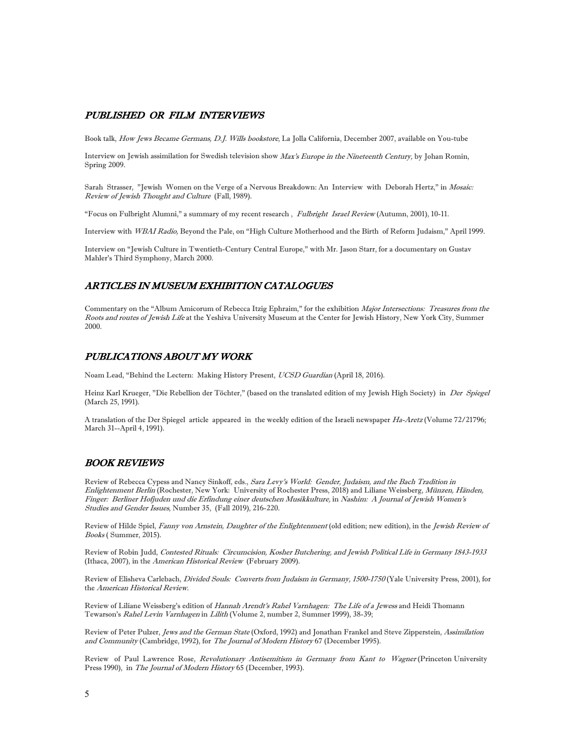# PUBLISHED OR FILM INTERVIEWS

Book talk, How Jews Became Germans, D.J. Wills bookstore, La Jolla California, December 2007, available on You-tube

Interview on Jewish assimilation for Swedish television show Max's Europe in the Nineteenth Century, by Johan Romin, Spring 2009.

Sarah Strasser, "Jewish Women on the Verge of a Nervous Breakdown: An Interview with Deborah Hertz," in Mosaic: Review of Jewish Thought and Culture (Fall, 1989).

"Focus on Fulbright Alumni," a summary of my recent research , Fulbright Israel Review (Autumn, 2001), 10-11.

Interview with WBAI Radio, Beyond the Pale, on "High Culture Motherhood and the Birth of Reform Judaism," April 1999.

Interview on "Jewish Culture in Twentieth-Century Central Europe," with Mr. Jason Starr, for a documentary on Gustav Mahler's Third Symphony, March 2000.

# ARTICLES IN MUSEUM EXHIBITION CATALOGUES

Commentary on the "Album Amicorum of Rebecca Itzig Ephraim," for the exhibition Major Intersections: Treasures from the Roots and routes of Jewish Life at the Yeshiva University Museum at the Center for Jewish History, New York City, Summer 2000.

# PUBLICATIONS ABOUT MY WORK

Noam Lead, "Behind the Lectern: Making History Present, UCSD Guardian (April 18, 2016).

Heinz Karl Krueger, "Die Rebellion der Töchter," (based on the translated edition of my Jewish High Society) in Der Spiegel (March 25, 1991).

A translation of the Der Spiegel article appeared in the weekly edition of the Israeli newspaper Ha-Aretz (Volume 72/21796; March 31--April 4, 1991).

# BOOK REVIEWS

Review of Rebecca Cypess and Nancy Sinkoff, eds., Sara Levy's World: Gender, Judaism, and the Bach Tradition in Enlightenment Berlin (Rochester, New York: University of Rochester Press, 2018) and Liliane Weissberg, Münzen, Händen, Finger: Berliner Hofjuden und die Erfindung einer deutschen Musikkulture, in Nashim: A Journal of Jewish Women's Studies and Gender Issues, Number 35, (Fall 2019), 216-220.

Review of Hilde Spiel, Fanny von Arnstein, Daughter of the Enlightenment (old edition; new edition), in the Jewish Review of Books ( Summer, 2015).

Review of Robin Judd, Contested Rituals: Circumcision, Kosher Butchering, and Jewish Political Life in Germany 1843-1933 (Ithaca, 2007), in the American Historical Review (February 2009).

Review of Elisheva Carlebach, *Divided Souls: Converts from Judaism in Germany*, 1500-1750 (Yale University Press, 2001), for the American Historical Review.

Review of Liliane Weissberg's edition of Hannah Arendt's Rahel Varnhagen: The Life of a Jewess and Heidi Thomann Tewarson's Rahel Levin Varnhagen in Lilith (Volume 2, number 2, Summer 1999), 38-39;

Review of Peter Pulzer, Jews and the German State (Oxford, 1992) and Jonathan Frankel and Steve Zipperstein, Assimilation and Community (Cambridge, 1992), for The Journal of Modern History 67 (December 1995).

Review of Paul Lawrence Rose, Revolutionary Antisemitism in Germany from Kant to Wagner (Princeton University Press 1990), in The Journal of Modern History 65 (December, 1993).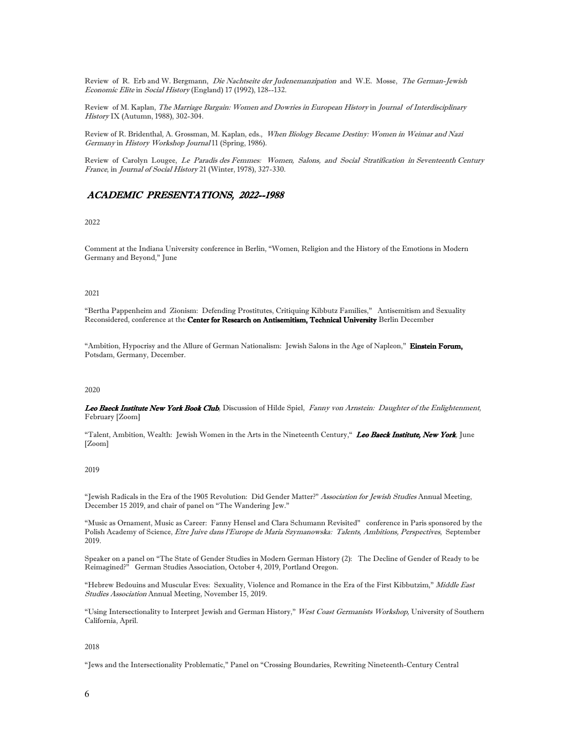Review of R. Erb and W. Bergmann, Die Nachtseite der Judenemanzipation and W.E. Mosse, The German-Jewish Economic Elite in Social History (England) 17 (1992), 128--132.

Review of M. Kaplan, The Marriage Bargain: Women and Dowries in European History in Journal of Interdisciplinary History IX (Autumn, 1988), 302-304.

Review of R. Bridenthal, A. Grossman, M. Kaplan, eds., When Biology Became Destiny: Women in Weimar and Nazi Germany in History Workshop Journal 11 (Spring, 1986).

Review of Carolyn Lougee, Le Paradis des Femmes: Women, Salons, and Social Stratification in Seventeenth Century France, in Journal of Social History 21 (Winter, 1978), 327-330.

# ACADEMIC PRESENTATIONS, 2022--1988

## 2022

Comment at the Indiana University conference in Berlin, "Women, Religion and the History of the Emotions in Modern Germany and Beyond," June

#### 2021

"Bertha Pappenheim and Zionism: Defending Prostitutes, Critiquing Kibbutz Families," Antisemitism and Sexuality Reconsidered, conference at the Center for Research on Antisemitism, Technical University Berlin December

"Ambition, Hypocrisy and the Allure of German Nationalism: Jewish Salons in the Age of Napleon," Einstein Forum, Potsdam, Germany, December.

#### 2020

Leo Baeck Institute New York Book Club, Discussion of Hilde Spiel, Fanny von Arnstein: Daughter of the Enlightenment, February [Zoom]

"Talent, Ambition, Wealth: Jewish Women in the Arts in the Nineteenth Century," Leo Baeck Institute, New York, June [Zoom]

## 2019

"Jewish Radicals in the Era of the 1905 Revolution: Did Gender Matter?" Association for Jewish Studies Annual Meeting, December 15 2019, and chair of panel on "The Wandering Jew."

"Music as Ornament, Music as Career: Fanny Hensel and Clara Schumann Revisited" conference in Paris sponsored by the Polish Academy of Science, Etre Juive dans l'Europe de Maria Szymanowska: Talents, Ambitions, Perspectives, September 2019.

Speaker on a panel on "The State of Gender Studies in Modern German History (2): The Decline of Gender of Ready to be Reimagined?" German Studies Association, October 4, 2019, Portland Oregon.

"Hebrew Bedouins and Muscular Eves: Sexuality, Violence and Romance in the Era of the First Kibbutzim," Middle East Studies Association Annual Meeting, November 15, 2019.

"Using Intersectionality to Interpret Jewish and German History," West Coast Germanists Workshop, University of Southern California, April.

#### 2018

"Jews and the Intersectionality Problematic," Panel on "Crossing Boundaries, Rewriting Nineteenth-Century Central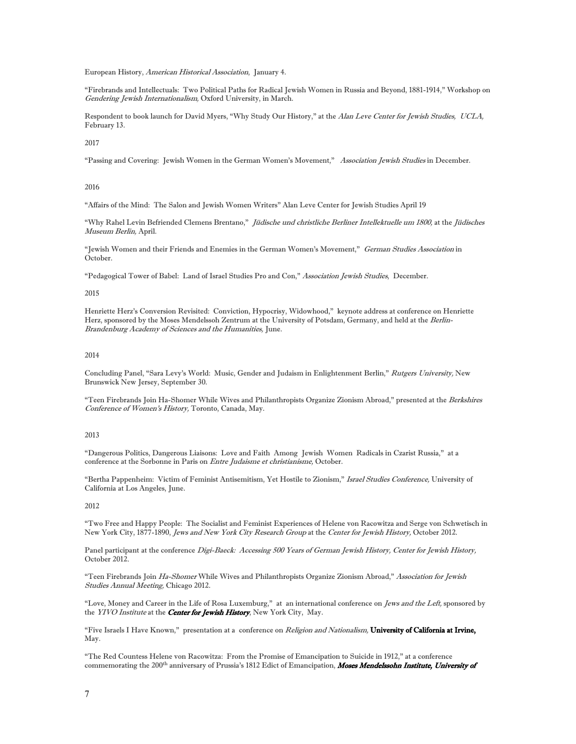European History, American Historical Association, January 4.

"Firebrands and Intellectuals: Two Political Paths for Radical Jewish Women in Russia and Beyond, 1881-1914," Workshop on Gendering Jewish Internationalism, Oxford University, in March.

Respondent to book launch for David Myers, "Why Study Our History," at the Alan Leve Center for Jewish Studies, UCLA, February 13.

2017

"Passing and Covering: Jewish Women in the German Women's Movement," Association Jewish Studies in December.

2016

"Affairs of the Mind: The Salon and Jewish Women Writers" Alan Leve Center for Jewish Studies April 19

"Why Rahel Levin Befriended Clemens Brentano," Jüdische und christliche Berliner Intellektuelle um 1800, at the Jüdisches Museum Berlin, April.

"Jewish Women and their Friends and Enemies in the German Women's Movement," German Studies Association in October.

"Pedagogical Tower of Babel: Land of Israel Studies Pro and Con," Association Jewish Studies, December.

2015

Henriette Herz's Conversion Revisited: Conviction, Hypocrisy, Widowhood," keynote address at conference on Henriette Herz, sponsored by the Moses Mendelssoh Zentrum at the University of Potsdam, Germany, and held at the Berlin-Brandenburg Academy of Sciences and the Humanities, June.

#### 2014

Concluding Panel, "Sara Levy's World: Music, Gender and Judaism in Enlightenment Berlin," Rutgers University, New Brunswick New Jersey, September 30.

"Teen Firebrands Join Ha-Shomer While Wives and Philanthropists Organize Zionism Abroad," presented at the Berkshires Conference of Women's History, Toronto, Canada, May.

## 2013

"Dangerous Politics, Dangerous Liaisons: Love and Faith Among Jewish Women Radicals in Czarist Russia," at a conference at the Sorbonne in Paris on *Entre Judaisme et christianisme*, October.

"Bertha Pappenheim: Victim of Feminist Antisemitism, Yet Hostile to Zionism," Israel Studies Conference, University of California at Los Angeles, June.

#### 2012

"Two Free and Happy People: The Socialist and Feminist Experiences of Helene von Racowitza and Serge von Schwetisch in New York City, 1877-1890, Jews and New York City Research Group at the Center for Jewish History, October 2012.

Panel participant at the conference Digi-Baeck: Accessing 500 Years of German Jewish History, Center for Jewish History, October 2012.

"Teen Firebrands Join Ha-Shomer While Wives and Philanthropists Organize Zionism Abroad," Association for Jewish Studies Annual Meeting, Chicago 2012.

"Love, Money and Career in the Life of Rosa Luxemburg," at an international conference on Jews and the Left, sponsored by the YIVO Institute at the **Center for Jewish History**, New York City, May.

"Five Israels I Have Known," presentation at a conference on Religion and Nationalism, University of California at Irvine, May.

"The Red Countess Helene von Racowitza: From the Promise of Emancipation to Suicide in 1912," at a conference commemorating the 200<sup>th</sup> anniversary of Prussia's 1812 Edict of Emancipation, Moses Mendelssohn Institute, University of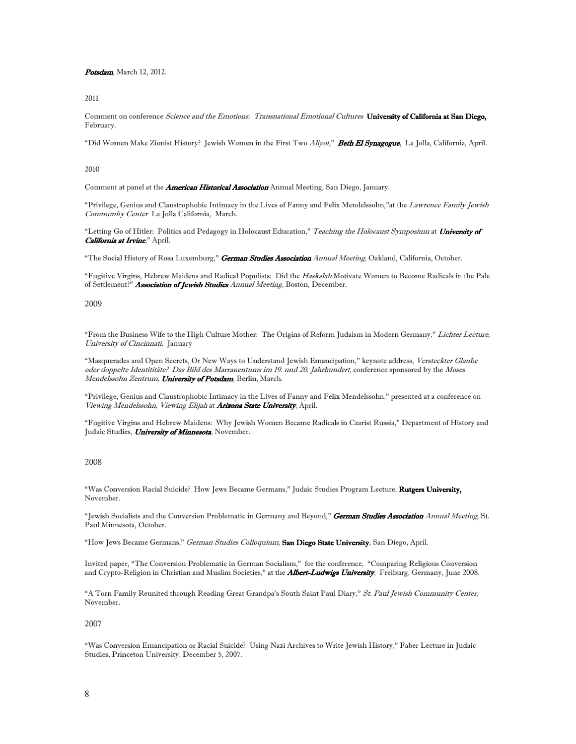Potsdam, March 12, 2012.

2011

Comment on conference Science and the Emotions: Transnational Emotional Cultures University of California at San Diego, February.

"Did Women Make Zionist History? Jewish Women in the First Two Aliyot," Beth El Synagogue, La Jolla, California, April.

2010

Comment at panel at the *American Historical Association* Annual Meeting, San Diego, January.

"Privilege, Genius and Claustrophobic Intimacy in the Lives of Fanny and Felix Mendelssohn," at the Lawrence Family Jewish Community Center La Jolla California, March.

"Letting Go of Hitler: Politics and Pedagogy in Holocaust Education," Teaching the Holocaust Symposium at University of California at Irvine," April.

"The Social History of Rosa Luxemburg," German Studies Association Annual Meeting, Oakland, California, October.

"Fugitive Virgins, Hebrew Maidens and Radical Populists: Did the Haskalah Motivate Women to Become Radicals in the Pale of Settlement?" Association of Jewish Studies Annual Meeting, Boston, December.

2009

"From the Business Wife to the High Culture Mother: The Origins of Reform Judaism in Modern Germany," Lichter Lecture, University of Cincinnati, January

"Masquerades and Open Secrets, Or New Ways to Understand Jewish Emancipation," keynote address, Versteckter Glaube oder doppelte Identititäte? Das Bild des Marranentums im 19. und 20. Jahrhundert, conference sponsored by the Moses Mendelssohn Zentrum, University of Potsdam, Berlin, March.

"Privilege, Genius and Claustrophobic Intimacy in the Lives of Fanny and Felix Mendelssohn," presented at a conference on Viewing Mendelssohn, Viewing Elijah at Arizona State University, April.

"Fugitive Virgins and Hebrew Maidens: Why Jewish Women Became Radicals in Czarist Russia," Department of History and Judaic Studies, *University of Minnesota*, November.

#### 2008

"Was Conversion Racial Suicide? How Jews Became Germans," Judaic Studies Program Lecture, Rutgers University, November.

"Jewish Socialists and the Conversion Problematic in Germany and Beyond," German Studies Association Annual Meeting, St. Paul Minnesota, October.

"How Jews Became Germans," German Studies Colloquium, San Diego State University, San Diego, April.

Invited paper, "The Conversion Problematic in German Socialism," for the conference, "Comparing Religious Conversion and Crypto-Religion in Christian and Muslim Societies," at the **Albert-Ludwigs University**, Freiburg, Germany, June 2008.

"A Torn Family Reunited through Reading Great Grandpa's South Saint Paul Diary," St. Paul Jewish Community Center, November.

2007

"Was Conversion Emancipation or Racial Suicide? Using Nazi Archives to Write Jewish History," Faber Lecture in Judaic Studies, Princeton University, December 5, 2007.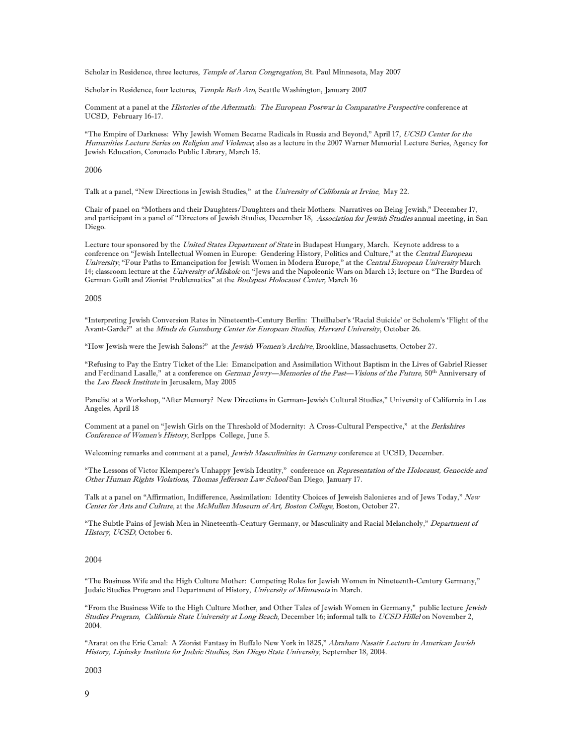Scholar in Residence, three lectures, *Temple of Aaron Congregation*, St. Paul Minnesota, May 2007

Scholar in Residence, four lectures, *Temple Beth Am*, Seattle Washington, January 2007

Comment at a panel at the Histories of the Aftermath: The European Postwar in Comparative Perspective conference at UCSD, February 16-17.

"The Empire of Darkness: Why Jewish Women Became Radicals in Russia and Beyond," April 17, UCSD Center for the Humanities Lecture Series on Religion and Violence; also as a lecture in the 2007 Warner Memorial Lecture Series, Agency for Jewish Education, Coronado Public Library, March 15.

2006

Talk at a panel, "New Directions in Jewish Studies," at the University of California at Irvine, May 22.

Chair of panel on "Mothers and their Daughters/Daughters and their Mothers: Narratives on Being Jewish," December 17, and participant in a panel of "Directors of Jewish Studies, December 18, Association for Jewish Studies annual meeting, in San Diego.

Lecture tour sponsored by the United States Department of State in Budapest Hungary, March. Keynote address to a conference on "Jewish Intellectual Women in Europe: Gendering History, Politics and Culture," at the Central European University; "Four Paths to Emancipation for Jewish Women in Modern Europe," at the Central European University March 14; classroom lecture at the University of Miskolc on "Jews and the Napoleonic Wars on March 13; lecture on "The Burden of German Guilt and Zionist Problematics" at the Budapest Holocaust Center, March 16

#### 2005

"Interpreting Jewish Conversion Rates in Nineteenth-Century Berlin: Theilhaber's 'Racial Suicide' or Scholem's 'Flight of the Avant-Garde?" at the Minda de Gunzburg Center for European Studies, Harvard University, October 26.

"How Jewish were the Jewish Salons?" at the Jewish Women's Archive, Brookline, Massachusetts, October 27.

"Refusing to Pay the Entry Ticket of the Lie: Emancipation and Assimilation Without Baptism in the Lives of Gabriel Riesser and Ferdinand Lasalle," at a conference on German Jewry—Memories of the Past—Visions of the Future, 50<sup>th</sup> Anniversary of the Leo Baeck Institute in Jerusalem, May 2005

Panelist at a Workshop, "After Memory? New Directions in German-Jewish Cultural Studies," University of California in Los Angeles, April 18

Comment at a panel on "Jewish Girls on the Threshold of Modernity: A Cross-Cultural Perspective," at the Berkshires Conference of Women's History, ScrIpps College, June 5.

Welcoming remarks and comment at a panel, *Jewish Masculinities in Germany* conference at UCSD, December.

"The Lessons of Victor Klemperer's Unhappy Jewish Identity," conference on Representation of the Holocaust, Genocide and Other Human Rights Violations, Thomas Jefferson Law School San Diego, January 17.

Talk at a panel on "Affirmation, Indifference, Assimilation: Identity Choices of Jeweish Salonieres and of Jews Today," New Center for Arts and Culture, at the McMullen Museum of Art, Boston College, Boston, October 27.

"The Subtle Pains of Jewish Men in Nineteenth-Century Germany, or Masculinity and Racial Melancholy," Department of History, UCSD, October 6.

## 2004

"The Business Wife and the High Culture Mother: Competing Roles for Jewish Women in Nineteenth-Century Germany," Judaic Studies Program and Department of History, University of Minnesota in March.

"From the Business Wife to the High Culture Mother, and Other Tales of Jewish Women in Germany," public lecture Jewish Studies Program, California State University at Long Beach, December 16; informal talk to UCSD Hillel on November 2, 2004.

"Ararat on the Erie Canal: A Zionist Fantasy in Buffalo New York in 1825," Abraham Nasatir Lecture in American Jewish History, Lipinsky Institute for Judaic Studies, San Diego State University, September 18, 2004.

2003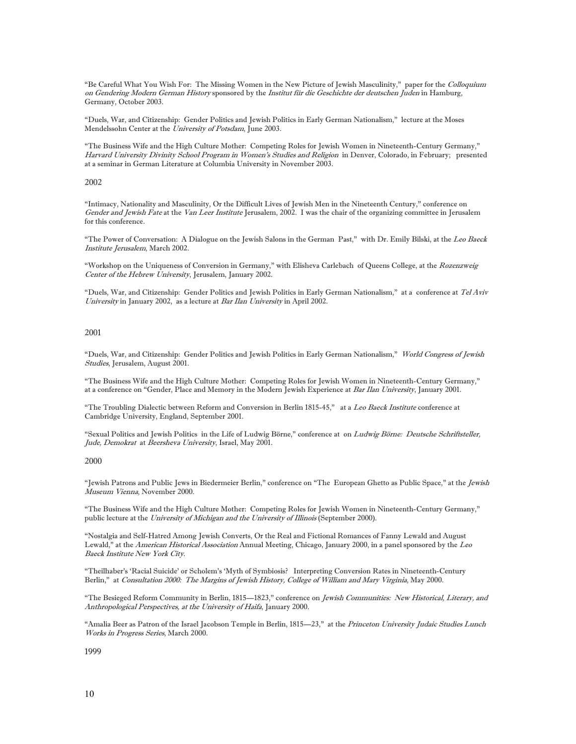"Be Careful What You Wish For: The Missing Women in the New Picture of Jewish Masculinity," paper for the Colloquium on Gendering Modern German History sponsored by the Institut für die Geschichte der deutschen Juden in Hamburg, Germany, October 2003.

"Duels, War, and Citizenship: Gender Politics and Jewish Politics in Early German Nationalism," lecture at the Moses Mendelssohn Center at the University of Potsdam, June 2003.

"The Business Wife and the High Culture Mother: Competing Roles for Jewish Women in Nineteenth-Century Germany," Harvard University Divinity School Program in Women's Studies and Religion in Denver, Colorado, in February; presented at a seminar in German Literature at Columbia University in November 2003.

#### 2002

"Intimacy, Nationality and Masculinity, Or the Difficult Lives of Jewish Men in the Nineteenth Century," conference on Gender and Jewish Fate at the Van Leer Institute Jerusalem, 2002. I was the chair of the organizing committee in Jerusalem for this conference.

"The Power of Conversation: A Dialogue on the Jewish Salons in the German Past," with Dr. Emily Bilski, at the Leo Baeck Institute Jerusalem, March 2002.

"Workshop on the Uniqueness of Conversion in Germany," with Elisheva Carlebach of Queens College, at the Rozenzweig Center of the Hebrew University, Jerusalem, January 2002.

"Duels, War, and Citizenship: Gender Politics and Jewish Politics in Early German Nationalism," at a conference at Tel Aviv University in January 2002, as a lecture at Bar Ilan University in April 2002.

#### 2001

"Duels, War, and Citizenship: Gender Politics and Jewish Politics in Early German Nationalism," World Congress of Jewish Studies, Jerusalem, August 2001.

"The Business Wife and the High Culture Mother: Competing Roles for Jewish Women in Nineteenth-Century Germany," at a conference on "Gender, Place and Memory in the Modern Jewish Experience at Bar Ilan University, January 2001.

"The Troubling Dialectic between Reform and Conversion in Berlin 1815-45," at a Leo Baeck Institute conference at Cambridge University, England, September 2001.

"Sexual Politics and Jewish Politics in the Life of Ludwig Börne," conference at on Ludwig Börne: Deutsche Schriftsteller, Jude, Demokrat at Beersheva University, Israel, May 2001.

#### 2000

"Jewish Patrons and Public Jews in Biedermeier Berlin," conference on "The European Ghetto as Public Space," at the Jewish Museum Vienna, November 2000.

"The Business Wife and the High Culture Mother: Competing Roles for Jewish Women in Nineteenth-Century Germany," public lecture at the University of Michigan and the University of Illinois (September 2000).

"Nostalgia and Self-Hatred Among Jewish Converts, Or the Real and Fictional Romances of Fanny Lewald and August Lewald," at the American Historical Association Annual Meeting, Chicago, January 2000, in a panel sponsored by the Leo Baeck Institute New York City.

"Theilhaber's 'Racial Suicide' or Scholem's 'Myth of Symbiosis? Interpreting Conversion Rates in Nineteenth-Century Berlin," at Consultation 2000: The Margins of Jewish History, College of William and Mary Virginia, May 2000.

"The Besieged Reform Community in Berlin, 1815—1823," conference on *Jewish Communities: New Historical, Literary, and* Anthropological Perspectives, at the University of Haifa, January 2000.

"Amalia Beer as Patron of the Israel Jacobson Temple in Berlin, 1815—23," at the Princeton University Judaic Studies Lunch Works in Progress Series, March 2000.

1999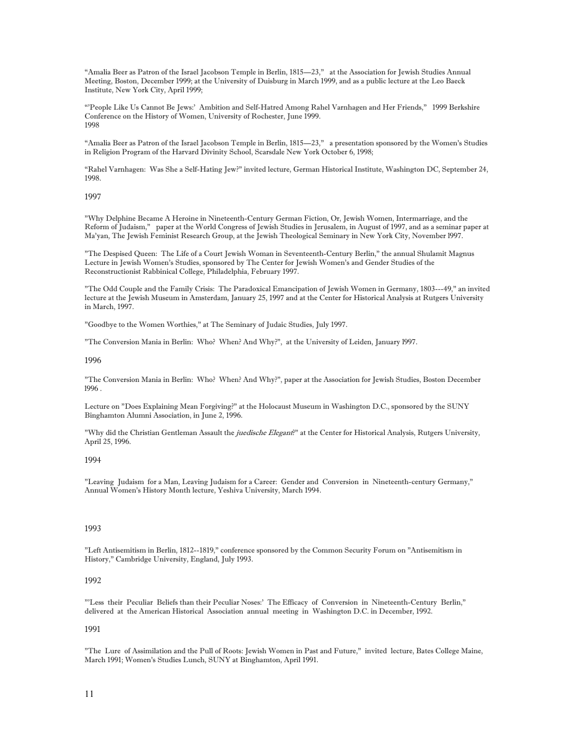"Amalia Beer as Patron of the Israel Jacobson Temple in Berlin, 1815—23," at the Association for Jewish Studies Annual Meeting, Boston, December 1999; at the University of Duisburg in March 1999, and as a public lecture at the Leo Baeck Institute, New York City, April 1999;

"'People Like Us Cannot Be Jews:' Ambition and Self-Hatred Among Rahel Varnhagen and Her Friends," 1999 Berkshire Conference on the History of Women, University of Rochester, June 1999. 1998

"Amalia Beer as Patron of the Israel Jacobson Temple in Berlin, 1815—23," a presentation sponsored by the Women's Studies in Religion Program of the Harvard Divinity School, Scarsdale New York October 6, 1998;

"Rahel Varnhagen: Was She a Self-Hating Jew?" invited lecture, German Historical Institute, Washington DC, September 24, 1998.

### 1997

"Why Delphine Became A Heroine in Nineteenth-Century German Fiction, Or, Jewish Women, Intermarriage, and the Reform of Judaism," paper at the World Congress of Jewish Studies in Jerusalem, in August of 1997, and as a seminar paper at Ma'yan, The Jewish Feminist Research Group, at the Jewish Theological Seminary in New York City, November l997.

"The Despised Queen: The Life of a Court Jewish Woman in Seventeenth-Century Berlin," the annual Shulamit Magnus Lecture in Jewish Women's Studies, sponsored by The Center for Jewish Women's and Gender Studies of the Reconstructionist Rabbinical College, Philadelphia, February 1997.

"The Odd Couple and the Family Crisis: The Paradoxical Emancipation of Jewish Women in Germany, 1803---49," an invited lecture at the Jewish Museum in Amsterdam, January 25, 1997 and at the Center for Historical Analysis at Rutgers University in March, 1997.

"Goodbye to the Women Worthies," at The Seminary of Judaic Studies, July 1997.

"The Conversion Mania in Berlin: Who? When? And Why?", at the University of Leiden, January l997.

#### 1996

"The Conversion Mania in Berlin: Who? When? And Why?", paper at the Association for Jewish Studies, Boston December l996 .

Lecture on "Does Explaining Mean Forgiving?" at the Holocaust Museum in Washington D.C., sponsored by the SUNY Binghamton Alumni Association, in June 2, 1996.

"Why did the Christian Gentleman Assault the *juedische Elegant*?" at the Center for Historical Analysis, Rutgers University, April 25, 1996.

## 1994

"Leaving Judaism for a Man, Leaving Judaism for a Career: Gender and Conversion in Nineteenth-century Germany," Annual Women's History Month lecture, Yeshiva University, March 1994.

#### 1993

"Left Antisemitism in Berlin, 1812--1819," conference sponsored by the Common Security Forum on "Antisemitism in History," Cambridge University, England, July 1993.

### 1992

"'Less their Peculiar Beliefs than their Peculiar Noses:' The Efficacy of Conversion in Nineteenth-Century Berlin," delivered at the American Historical Association annual meeting in Washington D.C. in December, 1992.

#### 1991

"The Lure of Assimilation and the Pull of Roots: Jewish Women in Past and Future," invited lecture, Bates College Maine, March 1991; Women's Studies Lunch, SUNY at Binghamton, April 1991.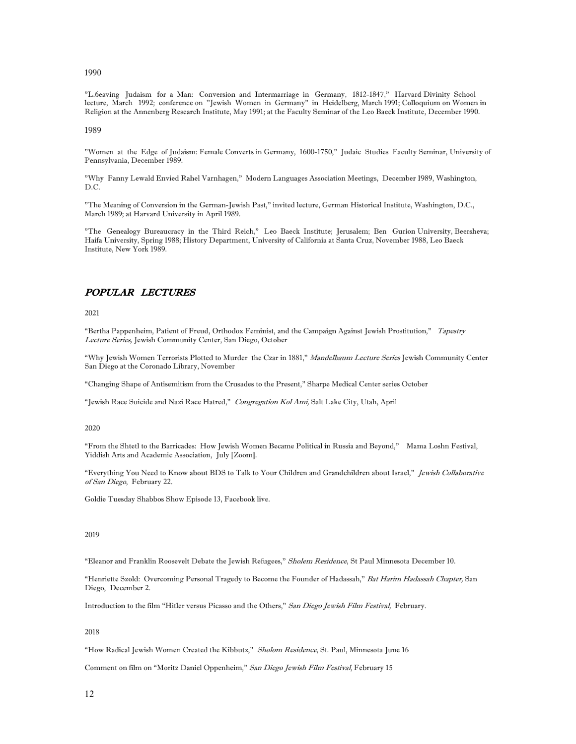1990

"L.6eaving Judaism for a Man: Conversion and Intermarriage in Germany, 1812-1847," Harvard Divinity School lecture, March 1992; conference on "Jewish Women in Germany" in Heidelberg, March 1991; Colloquium on Women in Religion at the Annenberg Research Institute, May 1991; at the Faculty Seminar of the Leo Baeck Institute, December 1990.

1989

"Women at the Edge of Judaism: Female Converts in Germany, 1600-1750," Judaic Studies Faculty Seminar, University of Pennsylvania, December 1989.

"Why Fanny Lewald Envied Rahel Varnhagen," Modern Languages Association Meetings, December 1989, Washington,  $D C$ 

"The Meaning of Conversion in the German-Jewish Past," invited lecture, German Historical Institute, Washington, D.C., March 1989; at Harvard University in April 1989.

"The Genealogy Bureaucracy in the Third Reich," Leo Baeck Institute; Jerusalem; Ben Gurion University, Beersheva; Haifa University, Spring 1988; History Department, University of California at Santa Cruz, November 1988, Leo Baeck Institute, New York 1989.

# POPULAR LECTURES

2021

"Bertha Pappenheim, Patient of Freud, Orthodox Feminist, and the Campaign Against Jewish Prostitution," Tapestry Lecture Series, Jewish Community Center, San Diego, October

"Why Jewish Women Terrorists Plotted to Murder the Czar in 1881," Mandelbaum Lecture Series Jewish Community Center San Diego at the Coronado Library, November

"Changing Shape of Antisemitism from the Crusades to the Present," Sharpe Medical Center series October

"Jewish Race Suicide and Nazi Race Hatred," Congregation Kol Ami, Salt Lake City, Utah, April

2020

"From the Shtetl to the Barricades: How Jewish Women Became Political in Russia and Beyond," Mama Loshn Festival, Yiddish Arts and Academic Association, July [Zoom].

"Everything You Need to Know about BDS to Talk to Your Children and Grandchildren about Israel," Jewish Collaborative of San Diego, February 22.

Goldie Tuesday Shabbos Show Episode 13, Facebook live.

2019

"Eleanor and Franklin Roosevelt Debate the Jewish Refugees," Sholem Residence, St Paul Minnesota December 10.

"Henriette Szold: Overcoming Personal Tragedy to Become the Founder of Hadassah," Bat Harim Hadassah Chapter, San Diego, December 2.

Introduction to the film "Hitler versus Picasso and the Others," San Diego Jewish Film Festival, February.

2018

"How Radical Jewish Women Created the Kibbutz," Sholom Residence, St. Paul, Minnesota June 16

Comment on film on "Moritz Daniel Oppenheim," San Diego Jewish Film Festival, February 15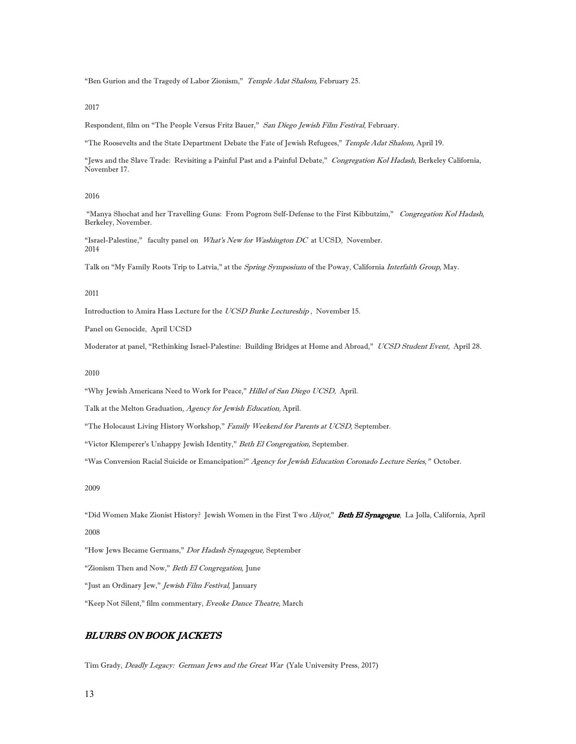"Ben Gurion and the Tragedy of Labor Zionism," Temple Adat Shalom, February 25.

2017

Respondent, film on "The People Versus Fritz Bauer," San Diego Jewish Film Festival, February.

"The Roosevelts and the State Department Debate the Fate of Jewish Refugees," Temple Adat Shalom, April 19.

"Jews and the Slave Trade: Revisiting a Painful Past and a Painful Debate," Congregation Kol Hadash, Berkeley California, November 17.

## 2016

 "Manya Shochat and her Travelling Guns: From Pogrom Self-Defense to the First Kibbutzim," Congregation Kol Hadash, Berkeley, November.

"Israel-Palestine," faculty panel on What's New for Washington DC at UCSD, November. 2014

Talk on "My Family Roots Trip to Latvia," at the Spring Symposium of the Poway, California Interfaith Group, May.

2011

Introduction to Amira Hass Lecture for the UCSD Burke Lectureship , November 15.

Panel on Genocide, April UCSD

Moderator at panel, "Rethinking Israel-Palestine: Building Bridges at Home and Abroad," UCSD Student Event, April 28.

2010

"Why Jewish Americans Need to Work for Peace," Hillel of San Diego UCSD, April.

Talk at the Melton Graduation, Agency for Jewish Education, April.

"The Holocaust Living History Workshop," Family Weekend for Parents at UCSD, September.

"Victor Klemperer's Unhappy Jewish Identity," Beth El Congregation, September.

"Was Conversion Racial Suicide or Emancipation?" Agency for Jewish Education Coronado Lecture Series," October.

2009

"Did Women Make Zionist History? Jewish Women in the First Two Aliyot," Beth El Synagogue, La Jolla, California, April 2008

"How Jews Became Germans," Dor Hadash Synagogue, September

"Zionism Then and Now," Beth El Congregation, June

"Just an Ordinary Jew," Jewish Film Festival, January

"Keep Not Silent," film commentary, Eveoke Dance Theatre, March

# BLURBS ON BOOK JACKETS

Tim Grady, Deadly Legacy: German Jews and the Great War (Yale University Press, 2017)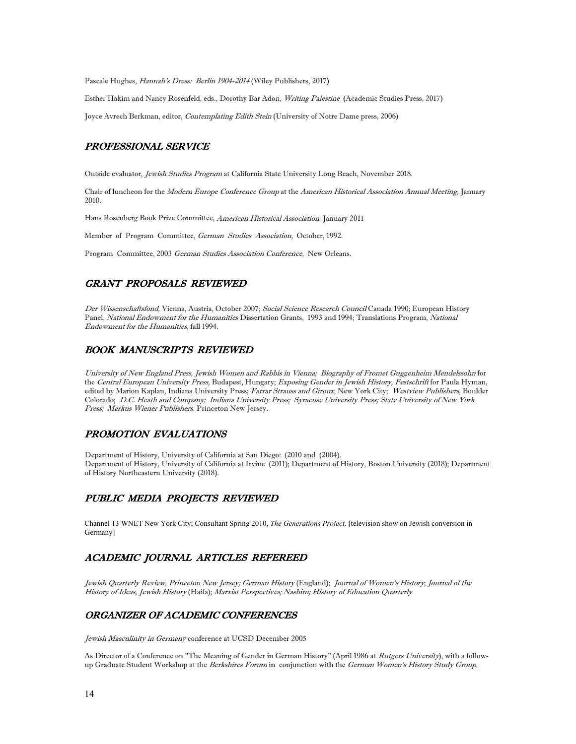Pascale Hughes, Hannah's Dress: Berlin 1904-2014 (Wiley Publishers, 2017)

Esther Hakim and Nancy Rosenfeld, eds., Dorothy Bar Adon, Writing Palestine (Academic Studies Press, 2017)

Joyce Avrech Berkman, editor, Contemplating Edith Stein (University of Notre Dame press, 2006)

# PROFESSIONAL SERVICE

Outside evaluator, Jewish Studies Program at California State University Long Beach, November 2018.

Chair of luncheon for the Modern Europe Conference Group at the American Historical Association Annual Meeting, January 2010.

Hans Rosenberg Book Prize Committee, American Historical Association, January 2011

Member of Program Committee, German Studies Association, October, 1992.

Program Committee, 2003 German Studies Association Conference, New Orleans.

# GRANT PROPOSALS REVIEWED

Der Wissenschaftsfond, Vienna, Austria, October 2007; Social Science Research Council Canada 1990; European History Panel, National Endowment for the Humanities Dissertation Grants, 1993 and 1994; Translations Program, National Endowment for the Humanities, fall 1994.

## BOOK MANUSCRIPTS REVIEWED

University of New England Press, Jewish Women and Rabbis in Vienna; Biography of Fromet Guggenheim Mendelssohn for the Central European University Press, Budapest, Hungary; Exposing Gender in Jewish History, Festschrift for Paula Hyman, edited by Marion Kaplan, Indiana University Press; Farrar Strauss and Giroux, New York City; Westview Publishers, Boulder Colorado; D.C. Heath and Company; Indiana University Press; Syracuse University Press; State University of New York Press; Markus Wiener Publishers, Princeton New Jersey.

# PROMOTION EVALUATIONS

Department of History, University of California at San Diego: (2010 and (2004). Department of History, University of California at Irvine (2011); Department of History, Boston University (2018); Department of History Northeastern University (2018).

## PUBLIC MEDIA PROJECTS REVIEWED

Channel 13 WNET New York City; Consultant Spring 2010, *The Generations Project,* [television show on Jewish conversion in Germany]

# ACADEMIC JOURNAL ARTICLES REFEREED

Jewish Quarterly Review, Princeton New Jersey; German History (England); Journal of Women's History; Journal of the History of Ideas, Jewish History (Haifa); Marxist Perspectives; Nashim; History of Education Quarterly

# ORGANIZER OF ACADEMIC CONFERENCES

Jewish Masculinity in Germany conference at UCSD December 2005

As Director of a Conference on "The Meaning of Gender in German History" (April 1986 at Rutgers University), with a followup Graduate Student Workshop at the Berkshires Forum in conjunction with the German Women's History Study Group.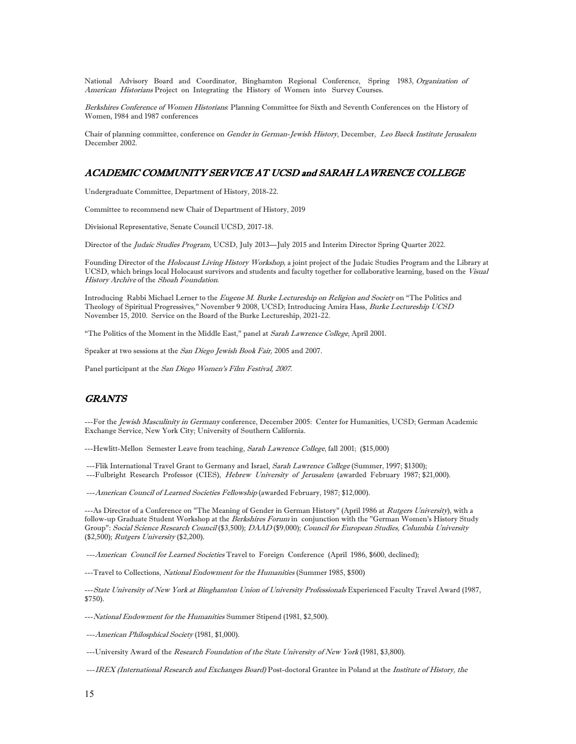National Advisory Board and Coordinator, Binghamton Regional Conference, Spring 1983, Organization of American Historians Project on Integrating the History of Women into Survey Courses.

Berkshires Conference of Women Historians: Planning Committee for Sixth and Seventh Conferences on the History of Women, 1984 and 1987 conferences

Chair of planning committee, conference on Gender in German-Jewish History, December, Leo Baeck Institute Jerusalem December 2002.

# ACADEMIC COMMUNITY SERVICE AT UCSD and SARAH LAWRENCE COLLEGE

Undergraduate Committee, Department of History, 2018-22.

Committee to recommend new Chair of Department of History, 2019

Divisional Representative, Senate Council UCSD, 2017-18.

Director of the *Judaic Studies Program*, UCSD, July 2013—July 2015 and Interim Director Spring Quarter 2022.

Founding Director of the Holocaust Living History Workshop, a joint project of the Judaic Studies Program and the Library at UCSD, which brings local Holocaust survivors and students and faculty together for collaborative learning, based on the Visual History Archive of the Shoah Foundation.

Introducing Rabbi Michael Lerner to the Eugene M. Burke Lectureship on Religion and Society on "The Politics and Theology of Spiritual Progressives," November 9 2008, UCSD; Introducing Amira Hass, Burke Lectureship UCSD November 15, 2010. Service on the Board of the Burke Lectureship, 2021-22.

"The Politics of the Moment in the Middle East," panel at Sarah Lawrence College, April 2001.

Speaker at two sessions at the San Diego Jewish Book Fair, 2005 and 2007.

Panel participant at the San Diego Women's Film Festival, 2007.

# GRANTS

---For the Jewish Masculinity in Germany conference, December 2005: Center for Humanities, UCSD; German Academic Exchange Service, New York City; University of Southern California.

---Hewlitt-Mellon Semester Leave from teaching, Sarah Lawrence College, fall 2001; (\$15,000)

---Flik International Travel Grant to Germany and Israel, Sarah Lawrence College (Summer, 1997; \$1300); ---Fulbright Research Professor (CIES), Hebrew University of Jerusalem (awarded February 1987; \$21,000).

---American Council of Learned Societies Fellowship (awarded February, 1987; \$12,000).

---As Director of a Conference on "The Meaning of Gender in German History" (April 1986 at Rutgers University), with a follow-up Graduate Student Workshop at the Berkshires Forum in conjunction with the "German Women's History Study Group": Social Science Research Council (\$3,500); DAAD (\$9,000); Council for European Studies, Columbia University (\$2,500); Rutgers University (\$2,200).

---American Council for Learned Societies Travel to Foreign Conference (April 1986, \$600, declined);

---Travel to Collections, National Endowment for the Humanities (Summer 1985, \$500)

---State University of New York at Binghamton Union of University Professionals Experienced Faculty Travel Award (1987, \$750).

---National Endowment for the Humanities Summer Stipend (1981, \$2,500).

---American Philosphical Society (1981, \$1,000).

---University Award of the Research Foundation of the State University of New York (1981, \$3,800).

---IREX (International Research and Exchanges Board) Post-doctoral Grantee in Poland at the Institute of History, the